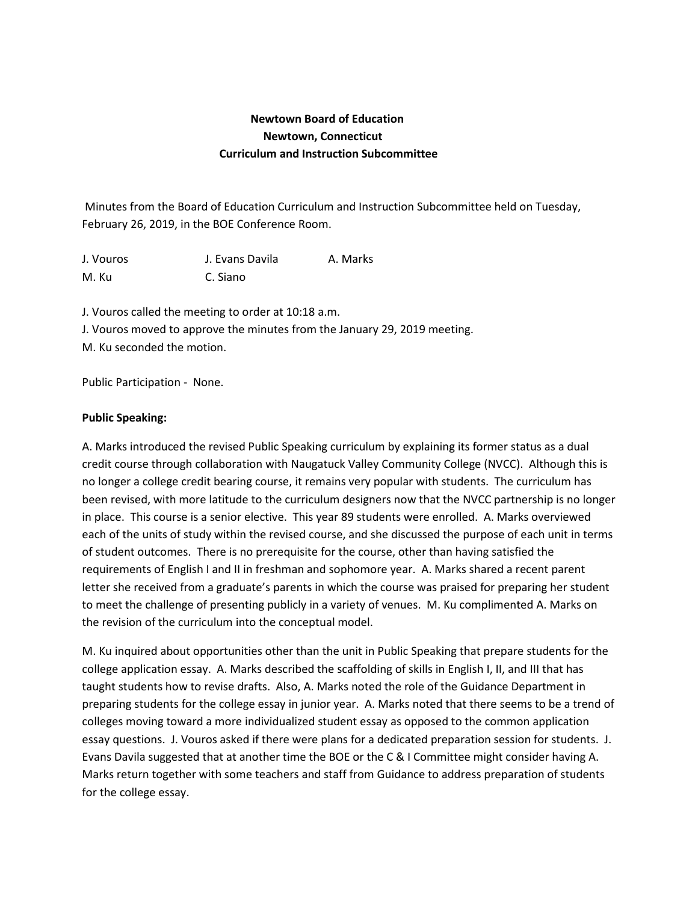## **Newtown Board of Education Newtown, Connecticut Curriculum and Instruction Subcommittee**

Minutes from the Board of Education Curriculum and Instruction Subcommittee held on Tuesday, February 26, 2019, in the BOE Conference Room.

J. Vouros J. Evans Davila A. Marks M. Ku C. Siano

J. Vouros called the meeting to order at 10:18 a.m. J. Vouros moved to approve the minutes from the January 29, 2019 meeting. M. Ku seconded the motion.

Public Participation - None.

## **Public Speaking:**

A. Marks introduced the revised Public Speaking curriculum by explaining its former status as a dual credit course through collaboration with Naugatuck Valley Community College (NVCC). Although this is no longer a college credit bearing course, it remains very popular with students. The curriculum has been revised, with more latitude to the curriculum designers now that the NVCC partnership is no longer in place. This course is a senior elective. This year 89 students were enrolled. A. Marks overviewed each of the units of study within the revised course, and she discussed the purpose of each unit in terms of student outcomes. There is no prerequisite for the course, other than having satisfied the requirements of English I and II in freshman and sophomore year. A. Marks shared a recent parent letter she received from a graduate's parents in which the course was praised for preparing her student to meet the challenge of presenting publicly in a variety of venues. M. Ku complimented A. Marks on the revision of the curriculum into the conceptual model.

M. Ku inquired about opportunities other than the unit in Public Speaking that prepare students for the college application essay. A. Marks described the scaffolding of skills in English I, II, and III that has taught students how to revise drafts. Also, A. Marks noted the role of the Guidance Department in preparing students for the college essay in junior year. A. Marks noted that there seems to be a trend of colleges moving toward a more individualized student essay as opposed to the common application essay questions. J. Vouros asked if there were plans for a dedicated preparation session for students. J. Evans Davila suggested that at another time the BOE or the C & I Committee might consider having A. Marks return together with some teachers and staff from Guidance to address preparation of students for the college essay.